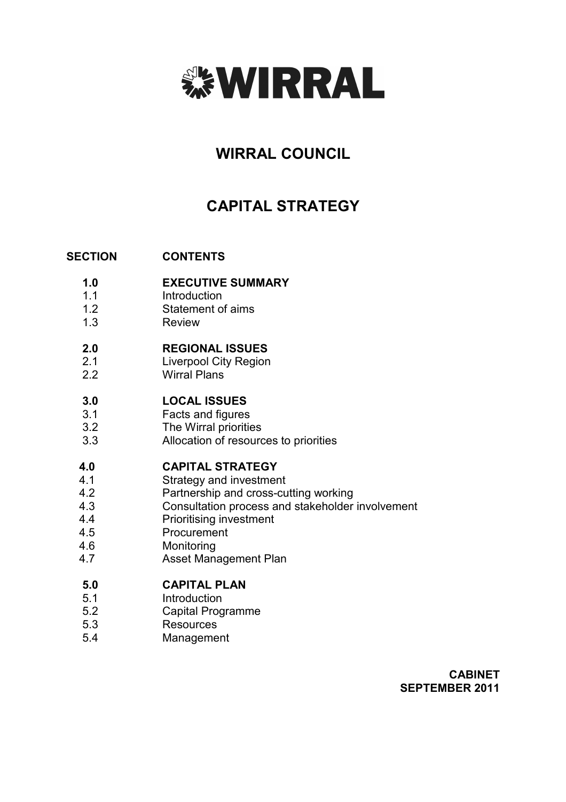

# **WIRRAL COUNCIL**

# **CAPITAL STRATEGY**

#### **SECTION CONTENTS**

- **1.0 EXECUTIVE SUMMARY**
- 1.1 **Introduction**
- 1.2 Statement of aims
- 1.3 Review

#### **2.0 REGIONAL ISSUES**

- 2.1 Liverpool City Region
- 2.2 Wirral Plans

#### **3.0 LOCAL ISSUES**

- 3.1 Facts and figures
- 3.2 The Wirral priorities
- 3.3 Allocation of resources to priorities

#### **4.0 CAPITAL STRATEGY**

- 4.1 Strategy and investment
- 4.2 Partnership and cross-cutting working
- 4.3 Consultation process and stakeholder involvement
- 4.4 Prioritising investment
- 4.5 Procurement
- 4.6 Monitoring
- 4.7 Asset Management Plan

#### **5.0 CAPITAL PLAN**

- 5.1 **Introduction**
- 5.2 Capital Programme
- 5.3 **Resources**
- 5.4 Management

**CABINET SEPTEMBER 2011**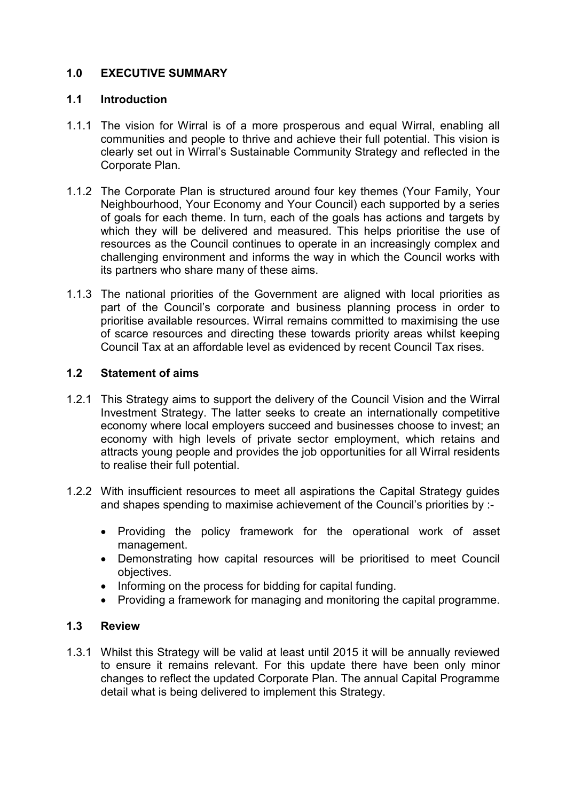# **1.0 EXECUTIVE SUMMARY**

#### **1.1 Introduction**

- 1.1.1 The vision for Wirral is of a more prosperous and equal Wirral, enabling all communities and people to thrive and achieve their full potential. This vision is clearly set out in Wirral's Sustainable Community Strategy and reflected in the Corporate Plan.
- 1.1.2 The Corporate Plan is structured around four key themes (Your Family, Your Neighbourhood, Your Economy and Your Council) each supported by a series of goals for each theme. In turn, each of the goals has actions and targets by which they will be delivered and measured. This helps prioritise the use of resources as the Council continues to operate in an increasingly complex and challenging environment and informs the way in which the Council works with its partners who share many of these aims.
- 1.1.3 The national priorities of the Government are aligned with local priorities as part of the Council's corporate and business planning process in order to prioritise available resources. Wirral remains committed to maximising the use of scarce resources and directing these towards priority areas whilst keeping Council Tax at an affordable level as evidenced by recent Council Tax rises.

### **1.2 Statement of aims**

- 1.2.1 This Strategy aims to support the delivery of the Council Vision and the Wirral Investment Strategy. The latter seeks to create an internationally competitive economy where local employers succeed and businesses choose to invest; an economy with high levels of private sector employment, which retains and attracts young people and provides the job opportunities for all Wirral residents to realise their full potential.
- 1.2.2 With insufficient resources to meet all aspirations the Capital Strategy guides and shapes spending to maximise achievement of the Council's priorities by :-
	- Providing the policy framework for the operational work of asset management.
	- Demonstrating how capital resources will be prioritised to meet Council objectives.
	- Informing on the process for bidding for capital funding.
	- Providing a framework for managing and monitoring the capital programme.

#### **1.3 Review**

1.3.1 Whilst this Strategy will be valid at least until 2015 it will be annually reviewed to ensure it remains relevant. For this update there have been only minor changes to reflect the updated Corporate Plan. The annual Capital Programme detail what is being delivered to implement this Strategy.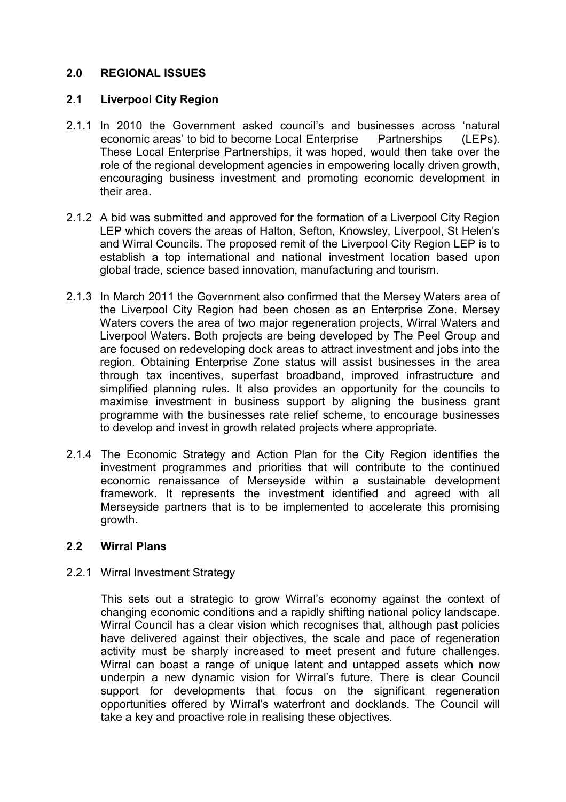# **2.0 REGIONAL ISSUES**

### **2.1 Liverpool City Region**

- 2.1.1 In 2010 the Government asked council's and businesses across 'natural economic areas' to bid to become Local Enterprise Partnerships (LEPs). These Local Enterprise Partnerships, it was hoped, would then take over the role of the regional development agencies in empowering locally driven growth, encouraging business investment and promoting economic development in their area.
- 2.1.2 A bid was submitted and approved for the formation of a Liverpool City Region LEP which covers the areas of Halton, Sefton, Knowsley, Liverpool, St Helen's and Wirral Councils. The proposed remit of the Liverpool City Region LEP is to establish a top international and national investment location based upon global trade, science based innovation, manufacturing and tourism.
- 2.1.3 In March 2011 the Government also confirmed that the Mersey Waters area of the Liverpool City Region had been chosen as an Enterprise Zone. Mersey Waters covers the area of two major regeneration projects, Wirral Waters and Liverpool Waters. Both projects are being developed by The Peel Group and are focused on redeveloping dock areas to attract investment and jobs into the region. Obtaining Enterprise Zone status will assist businesses in the area through tax incentives, superfast broadband, improved infrastructure and simplified planning rules. It also provides an opportunity for the councils to maximise investment in business support by aligning the business grant programme with the businesses rate relief scheme, to encourage businesses to develop and invest in growth related projects where appropriate.
- 2.1.4 The Economic Strategy and Action Plan for the City Region identifies the investment programmes and priorities that will contribute to the continued economic renaissance of Merseyside within a sustainable development framework. It represents the investment identified and agreed with all Merseyside partners that is to be implemented to accelerate this promising growth.

# **2.2 Wirral Plans**

#### 2.2.1 Wirral Investment Strategy

This sets out a strategic to grow Wirral's economy against the context of changing economic conditions and a rapidly shifting national policy landscape. Wirral Council has a clear vision which recognises that, although past policies have delivered against their objectives, the scale and pace of regeneration activity must be sharply increased to meet present and future challenges. Wirral can boast a range of unique latent and untapped assets which now underpin a new dynamic vision for Wirral's future. There is clear Council support for developments that focus on the significant regeneration opportunities offered by Wirral's waterfront and docklands. The Council will take a key and proactive role in realising these objectives.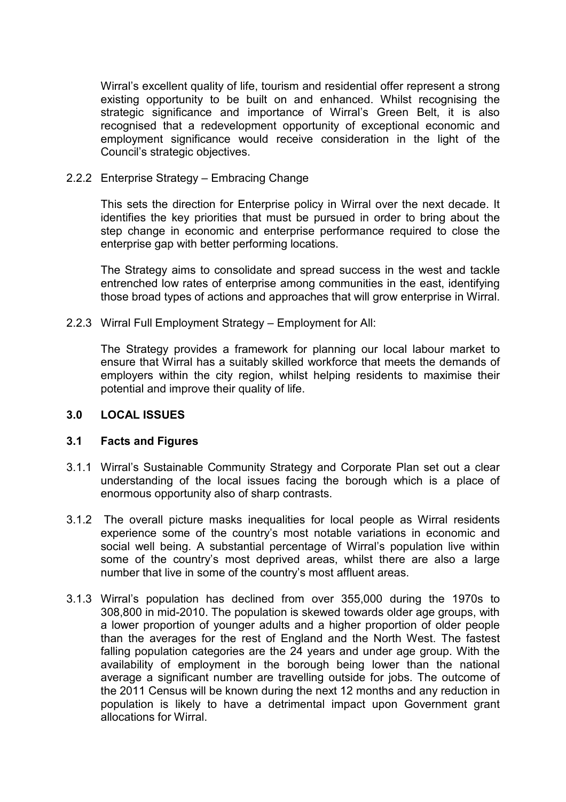Wirral's excellent quality of life, tourism and residential offer represent a strong existing opportunity to be built on and enhanced. Whilst recognising the strategic significance and importance of Wirral's Green Belt, it is also recognised that a redevelopment opportunity of exceptional economic and employment significance would receive consideration in the light of the Council's strategic objectives.

#### 2.2.2 Enterprise Strategy – Embracing Change

This sets the direction for Enterprise policy in Wirral over the next decade. It identifies the key priorities that must be pursued in order to bring about the step change in economic and enterprise performance required to close the enterprise gap with better performing locations.

The Strategy aims to consolidate and spread success in the west and tackle entrenched low rates of enterprise among communities in the east, identifying those broad types of actions and approaches that will grow enterprise in Wirral.

#### 2.2.3 Wirral Full Employment Strategy – Employment for All:

The Strategy provides a framework for planning our local labour market to ensure that Wirral has a suitably skilled workforce that meets the demands of employers within the city region, whilst helping residents to maximise their potential and improve their quality of life.

#### **3.0 LOCAL ISSUES**

#### **3.1 Facts and Figures**

- 3.1.1 Wirral's Sustainable Community Strategy and Corporate Plan set out a clear understanding of the local issues facing the borough which is a place of enormous opportunity also of sharp contrasts.
- 3.1.2 The overall picture masks inequalities for local people as Wirral residents experience some of the country's most notable variations in economic and social well being. A substantial percentage of Wirral's population live within some of the country's most deprived areas, whilst there are also a large number that live in some of the country's most affluent areas.
- 3.1.3 Wirral's population has declined from over 355,000 during the 1970s to 308,800 in mid-2010. The population is skewed towards older age groups, with a lower proportion of younger adults and a higher proportion of older people than the averages for the rest of England and the North West. The fastest falling population categories are the 24 years and under age group. With the availability of employment in the borough being lower than the national average a significant number are travelling outside for jobs. The outcome of the 2011 Census will be known during the next 12 months and any reduction in population is likely to have a detrimental impact upon Government grant allocations for Wirral.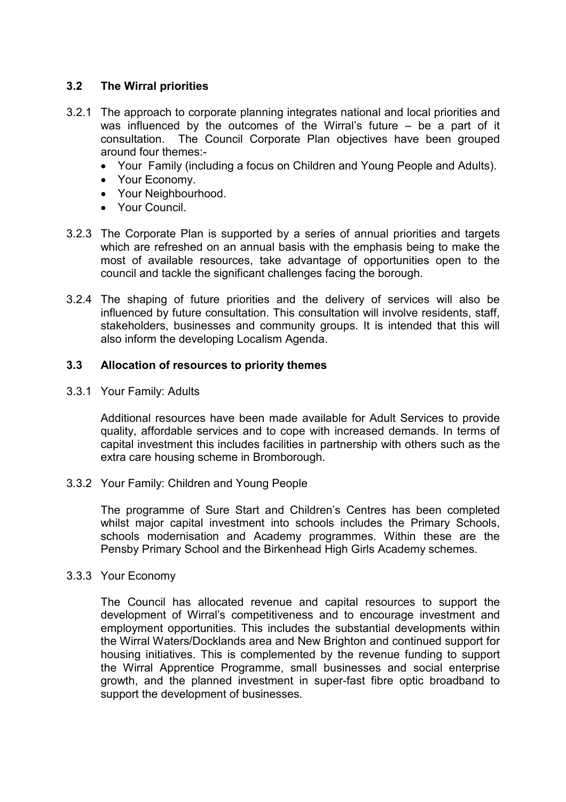### **3.2 The Wirral priorities**

- 3.2.1 The approach to corporate planning integrates national and local priorities and was influenced by the outcomes of the Wirral's future – be a part of it consultation. The Council Corporate Plan objectives have been grouped around four themes:-
	- Your Family (including a focus on Children and Young People and Adults).
	- Your Economy.
	- Your Neighbourhood.
	- Your Council.
- 3.2.3 The Corporate Plan is supported by a series of annual priorities and targets which are refreshed on an annual basis with the emphasis being to make the most of available resources, take advantage of opportunities open to the council and tackle the significant challenges facing the borough.
- 3.2.4 The shaping of future priorities and the delivery of services will also be influenced by future consultation. This consultation will involve residents, staff, stakeholders, businesses and community groups. It is intended that this will also inform the developing Localism Agenda.

#### **3.3 Allocation of resources to priority themes**

3.3.1 Your Family: Adults

Additional resources have been made available for Adult Services to provide quality, affordable services and to cope with increased demands. In terms of capital investment this includes facilities in partnership with others such as the extra care housing scheme in Bromborough.

3.3.2 Your Family: Children and Young People

The programme of Sure Start and Children's Centres has been completed whilst major capital investment into schools includes the Primary Schools, schools modernisation and Academy programmes. Within these are the Pensby Primary School and the Birkenhead High Girls Academy schemes.

#### 3.3.3 Your Economy

The Council has allocated revenue and capital resources to support the development of Wirral's competitiveness and to encourage investment and employment opportunities. This includes the substantial developments within the Wirral Waters/Docklands area and New Brighton and continued support for housing initiatives. This is complemented by the revenue funding to support the Wirral Apprentice Programme, small businesses and social enterprise growth, and the planned investment in super-fast fibre optic broadband to support the development of businesses.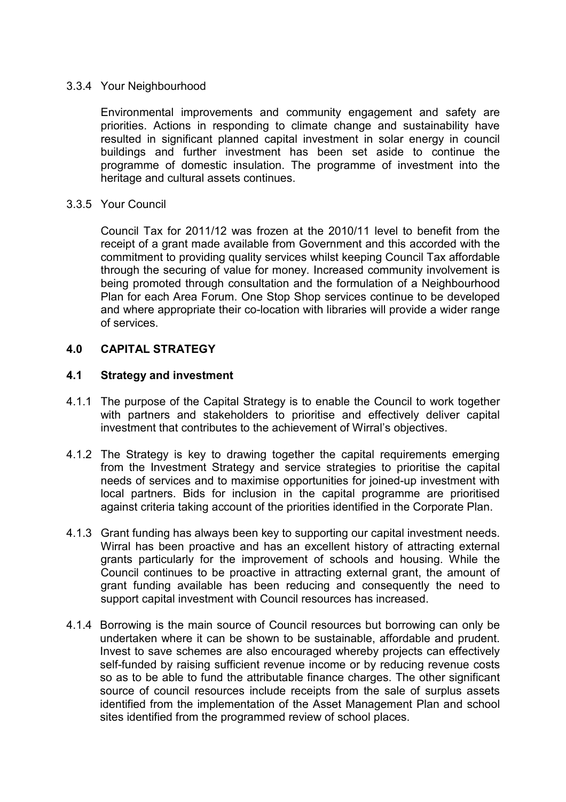#### 3.3.4 Your Neighbourhood

Environmental improvements and community engagement and safety are priorities. Actions in responding to climate change and sustainability have resulted in significant planned capital investment in solar energy in council buildings and further investment has been set aside to continue the programme of domestic insulation. The programme of investment into the heritage and cultural assets continues.

#### 3.3.5 Your Council

Council Tax for 2011/12 was frozen at the 2010/11 level to benefit from the receipt of a grant made available from Government and this accorded with the commitment to providing quality services whilst keeping Council Tax affordable through the securing of value for money. Increased community involvement is being promoted through consultation and the formulation of a Neighbourhood Plan for each Area Forum. One Stop Shop services continue to be developed and where appropriate their co-location with libraries will provide a wider range of services.

#### **4.0 CAPITAL STRATEGY**

#### **4.1 Strategy and investment**

- 4.1.1 The purpose of the Capital Strategy is to enable the Council to work together with partners and stakeholders to prioritise and effectively deliver capital investment that contributes to the achievement of Wirral's objectives.
- 4.1.2 The Strategy is key to drawing together the capital requirements emerging from the Investment Strategy and service strategies to prioritise the capital needs of services and to maximise opportunities for joined-up investment with local partners. Bids for inclusion in the capital programme are prioritised against criteria taking account of the priorities identified in the Corporate Plan.
- 4.1.3 Grant funding has always been key to supporting our capital investment needs. Wirral has been proactive and has an excellent history of attracting external grants particularly for the improvement of schools and housing. While the Council continues to be proactive in attracting external grant, the amount of grant funding available has been reducing and consequently the need to support capital investment with Council resources has increased.
- 4.1.4 Borrowing is the main source of Council resources but borrowing can only be undertaken where it can be shown to be sustainable, affordable and prudent. Invest to save schemes are also encouraged whereby projects can effectively self-funded by raising sufficient revenue income or by reducing revenue costs so as to be able to fund the attributable finance charges. The other significant source of council resources include receipts from the sale of surplus assets identified from the implementation of the Asset Management Plan and school sites identified from the programmed review of school places.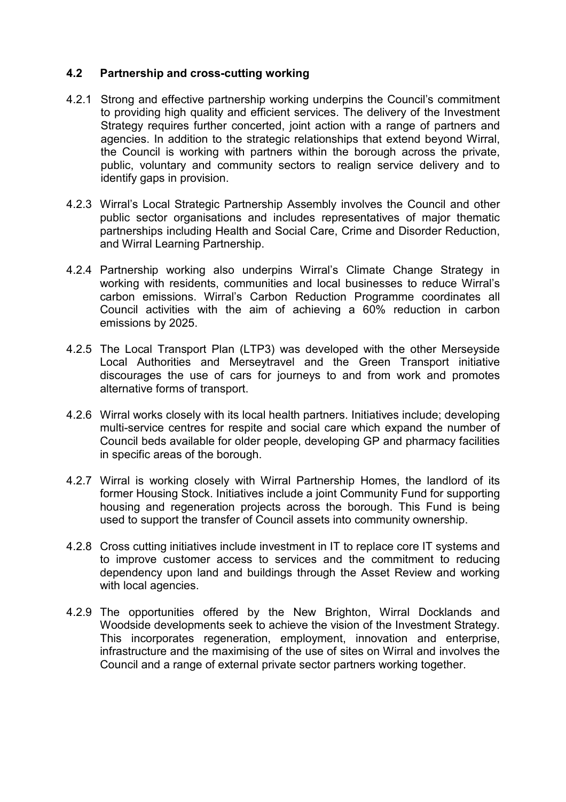### **4.2 Partnership and cross-cutting working**

- 4.2.1 Strong and effective partnership working underpins the Council's commitment to providing high quality and efficient services. The delivery of the Investment Strategy requires further concerted, joint action with a range of partners and agencies. In addition to the strategic relationships that extend beyond Wirral, the Council is working with partners within the borough across the private, public, voluntary and community sectors to realign service delivery and to identify gaps in provision.
- 4.2.3 Wirral's Local Strategic Partnership Assembly involves the Council and other public sector organisations and includes representatives of major thematic partnerships including Health and Social Care, Crime and Disorder Reduction, and Wirral Learning Partnership.
- 4.2.4 Partnership working also underpins Wirral's Climate Change Strategy in working with residents, communities and local businesses to reduce Wirral's carbon emissions. Wirral's Carbon Reduction Programme coordinates all Council activities with the aim of achieving a 60% reduction in carbon emissions by 2025.
- 4.2.5 The Local Transport Plan (LTP3) was developed with the other Merseyside Local Authorities and Merseytravel and the Green Transport initiative discourages the use of cars for journeys to and from work and promotes alternative forms of transport.
- 4.2.6 Wirral works closely with its local health partners. Initiatives include; developing multi-service centres for respite and social care which expand the number of Council beds available for older people, developing GP and pharmacy facilities in specific areas of the borough.
- 4.2.7 Wirral is working closely with Wirral Partnership Homes, the landlord of its former Housing Stock. Initiatives include a joint Community Fund for supporting housing and regeneration projects across the borough. This Fund is being used to support the transfer of Council assets into community ownership.
- 4.2.8 Cross cutting initiatives include investment in IT to replace core IT systems and to improve customer access to services and the commitment to reducing dependency upon land and buildings through the Asset Review and working with local agencies.
- 4.2.9 The opportunities offered by the New Brighton, Wirral Docklands and Woodside developments seek to achieve the vision of the Investment Strategy. This incorporates regeneration, employment, innovation and enterprise, infrastructure and the maximising of the use of sites on Wirral and involves the Council and a range of external private sector partners working together.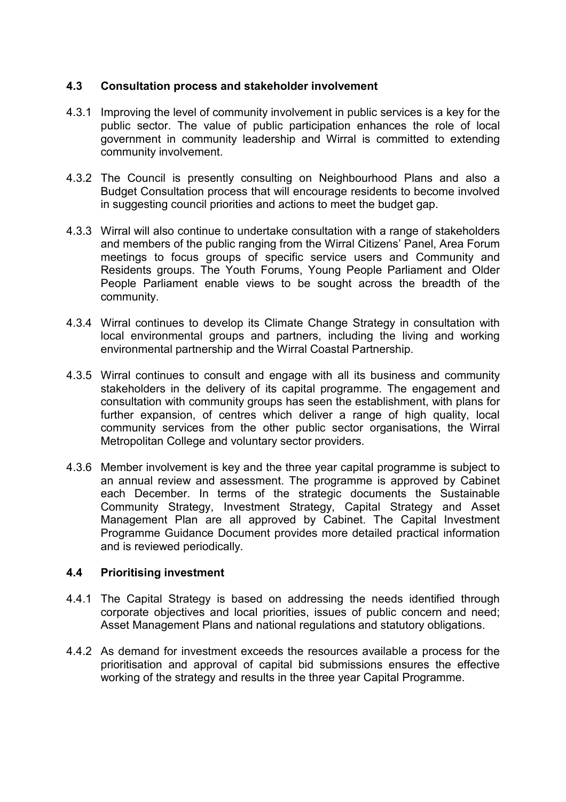### **4.3 Consultation process and stakeholder involvement**

- 4.3.1 Improving the level of community involvement in public services is a key for the public sector. The value of public participation enhances the role of local government in community leadership and Wirral is committed to extending community involvement.
- 4.3.2 The Council is presently consulting on Neighbourhood Plans and also a Budget Consultation process that will encourage residents to become involved in suggesting council priorities and actions to meet the budget gap.
- 4.3.3 Wirral will also continue to undertake consultation with a range of stakeholders and members of the public ranging from the Wirral Citizens' Panel, Area Forum meetings to focus groups of specific service users and Community and Residents groups. The Youth Forums, Young People Parliament and Older People Parliament enable views to be sought across the breadth of the community.
- 4.3.4 Wirral continues to develop its Climate Change Strategy in consultation with local environmental groups and partners, including the living and working environmental partnership and the Wirral Coastal Partnership.
- 4.3.5 Wirral continues to consult and engage with all its business and community stakeholders in the delivery of its capital programme. The engagement and consultation with community groups has seen the establishment, with plans for further expansion, of centres which deliver a range of high quality, local community services from the other public sector organisations, the Wirral Metropolitan College and voluntary sector providers.
- 4.3.6 Member involvement is key and the three year capital programme is subject to an annual review and assessment. The programme is approved by Cabinet each December. In terms of the strategic documents the Sustainable Community Strategy, Investment Strategy, Capital Strategy and Asset Management Plan are all approved by Cabinet. The Capital Investment Programme Guidance Document provides more detailed practical information and is reviewed periodically.

# **4.4 Prioritising investment**

- 4.4.1 The Capital Strategy is based on addressing the needs identified through corporate objectives and local priorities, issues of public concern and need; Asset Management Plans and national regulations and statutory obligations.
- 4.4.2 As demand for investment exceeds the resources available a process for the prioritisation and approval of capital bid submissions ensures the effective working of the strategy and results in the three year Capital Programme.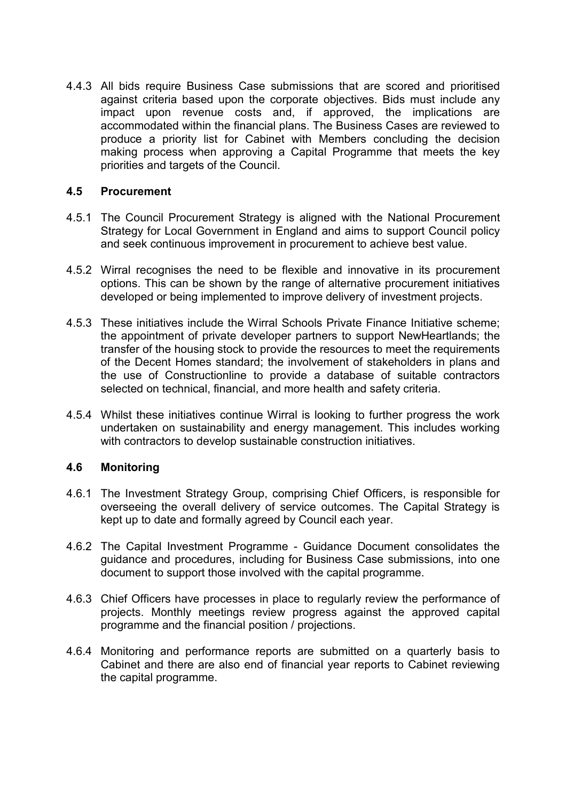4.4.3 All bids require Business Case submissions that are scored and prioritised against criteria based upon the corporate objectives. Bids must include any impact upon revenue costs and, if approved, the implications are accommodated within the financial plans. The Business Cases are reviewed to produce a priority list for Cabinet with Members concluding the decision making process when approving a Capital Programme that meets the key priorities and targets of the Council.

#### **4.5 Procurement**

- 4.5.1 The Council Procurement Strategy is aligned with the National Procurement Strategy for Local Government in England and aims to support Council policy and seek continuous improvement in procurement to achieve best value.
- 4.5.2 Wirral recognises the need to be flexible and innovative in its procurement options. This can be shown by the range of alternative procurement initiatives developed or being implemented to improve delivery of investment projects.
- 4.5.3 These initiatives include the Wirral Schools Private Finance Initiative scheme; the appointment of private developer partners to support NewHeartlands; the transfer of the housing stock to provide the resources to meet the requirements of the Decent Homes standard; the involvement of stakeholders in plans and the use of Constructionline to provide a database of suitable contractors selected on technical, financial, and more health and safety criteria.
- 4.5.4 Whilst these initiatives continue Wirral is looking to further progress the work undertaken on sustainability and energy management. This includes working with contractors to develop sustainable construction initiatives.

# **4.6 Monitoring**

- 4.6.1 The Investment Strategy Group, comprising Chief Officers, is responsible for overseeing the overall delivery of service outcomes. The Capital Strategy is kept up to date and formally agreed by Council each year.
- 4.6.2 The Capital Investment Programme Guidance Document consolidates the guidance and procedures, including for Business Case submissions, into one document to support those involved with the capital programme.
- 4.6.3 Chief Officers have processes in place to regularly review the performance of projects. Monthly meetings review progress against the approved capital programme and the financial position / projections.
- 4.6.4 Monitoring and performance reports are submitted on a quarterly basis to Cabinet and there are also end of financial year reports to Cabinet reviewing the capital programme.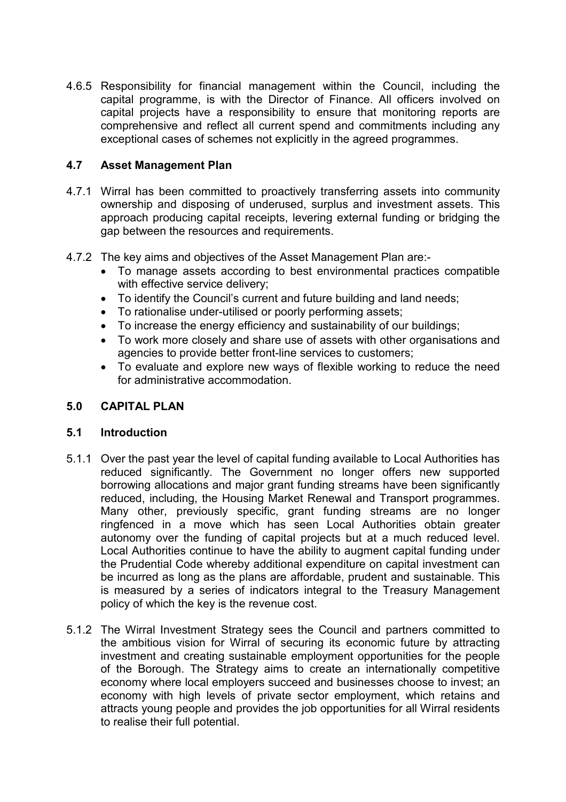4.6.5 Responsibility for financial management within the Council, including the capital programme, is with the Director of Finance. All officers involved on capital projects have a responsibility to ensure that monitoring reports are comprehensive and reflect all current spend and commitments including any exceptional cases of schemes not explicitly in the agreed programmes.

### **4.7 Asset Management Plan**

- 4.7.1 Wirral has been committed to proactively transferring assets into community ownership and disposing of underused, surplus and investment assets. This approach producing capital receipts, levering external funding or bridging the gap between the resources and requirements.
- 4.7.2 The key aims and objectives of the Asset Management Plan are:-
	- To manage assets according to best environmental practices compatible with effective service delivery;
	- To identify the Council's current and future building and land needs;
	- To rationalise under-utilised or poorly performing assets;
	- To increase the energy efficiency and sustainability of our buildings;
	- To work more closely and share use of assets with other organisations and agencies to provide better front-line services to customers;
	- To evaluate and explore new ways of flexible working to reduce the need for administrative accommodation.

### **5.0 CAPITAL PLAN**

#### **5.1 Introduction**

- 5.1.1 Over the past year the level of capital funding available to Local Authorities has reduced significantly. The Government no longer offers new supported borrowing allocations and major grant funding streams have been significantly reduced, including, the Housing Market Renewal and Transport programmes. Many other, previously specific, grant funding streams are no longer ringfenced in a move which has seen Local Authorities obtain greater autonomy over the funding of capital projects but at a much reduced level. Local Authorities continue to have the ability to augment capital funding under the Prudential Code whereby additional expenditure on capital investment can be incurred as long as the plans are affordable, prudent and sustainable. This is measured by a series of indicators integral to the Treasury Management policy of which the key is the revenue cost.
- 5.1.2 The Wirral Investment Strategy sees the Council and partners committed to the ambitious vision for Wirral of securing its economic future by attracting investment and creating sustainable employment opportunities for the people of the Borough. The Strategy aims to create an internationally competitive economy where local employers succeed and businesses choose to invest; an economy with high levels of private sector employment, which retains and attracts young people and provides the job opportunities for all Wirral residents to realise their full potential.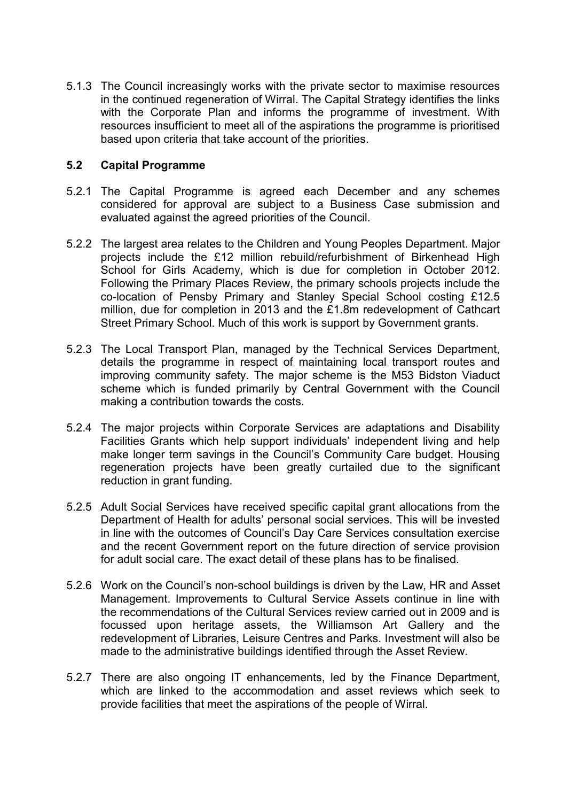5.1.3 The Council increasingly works with the private sector to maximise resources in the continued regeneration of Wirral. The Capital Strategy identifies the links with the Corporate Plan and informs the programme of investment. With resources insufficient to meet all of the aspirations the programme is prioritised based upon criteria that take account of the priorities.

#### **5.2 Capital Programme**

- 5.2.1 The Capital Programme is agreed each December and any schemes considered for approval are subject to a Business Case submission and evaluated against the agreed priorities of the Council.
- 5.2.2 The largest area relates to the Children and Young Peoples Department. Major projects include the £12 million rebuild/refurbishment of Birkenhead High School for Girls Academy, which is due for completion in October 2012. Following the Primary Places Review, the primary schools projects include the co-location of Pensby Primary and Stanley Special School costing £12.5 million, due for completion in 2013 and the £1.8m redevelopment of Cathcart Street Primary School. Much of this work is support by Government grants.
- 5.2.3 The Local Transport Plan, managed by the Technical Services Department, details the programme in respect of maintaining local transport routes and improving community safety. The major scheme is the M53 Bidston Viaduct scheme which is funded primarily by Central Government with the Council making a contribution towards the costs.
- 5.2.4 The major projects within Corporate Services are adaptations and Disability Facilities Grants which help support individuals' independent living and help make longer term savings in the Council's Community Care budget. Housing regeneration projects have been greatly curtailed due to the significant reduction in grant funding.
- 5.2.5 Adult Social Services have received specific capital grant allocations from the Department of Health for adults' personal social services. This will be invested in line with the outcomes of Council's Day Care Services consultation exercise and the recent Government report on the future direction of service provision for adult social care. The exact detail of these plans has to be finalised.
- 5.2.6 Work on the Council's non-school buildings is driven by the Law, HR and Asset Management. Improvements to Cultural Service Assets continue in line with the recommendations of the Cultural Services review carried out in 2009 and is focussed upon heritage assets, the Williamson Art Gallery and the redevelopment of Libraries, Leisure Centres and Parks. Investment will also be made to the administrative buildings identified through the Asset Review.
- 5.2.7 There are also ongoing IT enhancements, led by the Finance Department, which are linked to the accommodation and asset reviews which seek to provide facilities that meet the aspirations of the people of Wirral.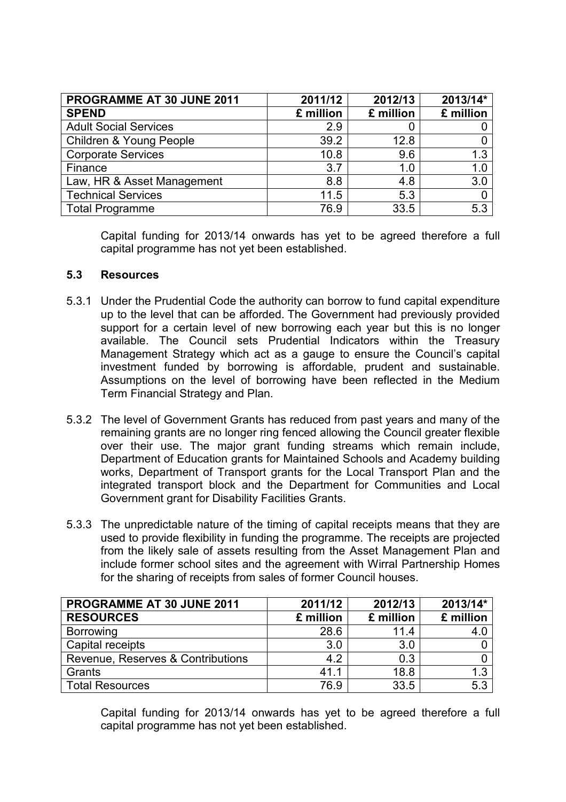| PROGRAMME AT 30 JUNE 2011    | 2011/12   | 2012/13   | 2013/14*  |
|------------------------------|-----------|-----------|-----------|
| <b>SPEND</b>                 | £ million | £ million | £ million |
| <b>Adult Social Services</b> | 2.9       |           |           |
| Children & Young People      | 39.2      | 12.8      |           |
| <b>Corporate Services</b>    | 10.8      | 9.6       | 1.3       |
| Finance                      | 3.7       | 1.0       | 1.0       |
| Law, HR & Asset Management   | 8.8       | 4.8       | 3.0       |
| <b>Technical Services</b>    | 11.5      | 5.3       |           |
| <b>Total Programme</b>       | 76.9      | 33.5      | 5.3       |

Capital funding for 2013/14 onwards has yet to be agreed therefore a full capital programme has not yet been established.

#### **5.3 Resources**

- 5.3.1 Under the Prudential Code the authority can borrow to fund capital expenditure up to the level that can be afforded. The Government had previously provided support for a certain level of new borrowing each year but this is no longer available. The Council sets Prudential Indicators within the Treasury Management Strategy which act as a gauge to ensure the Council's capital investment funded by borrowing is affordable, prudent and sustainable. Assumptions on the level of borrowing have been reflected in the Medium Term Financial Strategy and Plan.
- 5.3.2 The level of Government Grants has reduced from past years and many of the remaining grants are no longer ring fenced allowing the Council greater flexible over their use. The major grant funding streams which remain include, Department of Education grants for Maintained Schools and Academy building works, Department of Transport grants for the Local Transport Plan and the integrated transport block and the Department for Communities and Local Government grant for Disability Facilities Grants.
- 5.3.3 The unpredictable nature of the timing of capital receipts means that they are used to provide flexibility in funding the programme. The receipts are projected from the likely sale of assets resulting from the Asset Management Plan and include former school sites and the agreement with Wirral Partnership Homes for the sharing of receipts from sales of former Council houses.

| PROGRAMME AT 30 JUNE 2011         | 2011/12   | 2012/13   | 2013/14*  |
|-----------------------------------|-----------|-----------|-----------|
| <b>RESOURCES</b>                  | £ million | £ million | £ million |
| Borrowing                         | 28.6      | 11.4      | 4.0       |
| Capital receipts                  | 3.0       | 3.0       |           |
| Revenue, Reserves & Contributions | 4.2       | 0.3       |           |
| Grants                            | 41.1      | 18.8      | 1.3       |
| <b>Total Resources</b>            | 76.9      | 33.5      | 5.3       |

Capital funding for 2013/14 onwards has yet to be agreed therefore a full capital programme has not yet been established.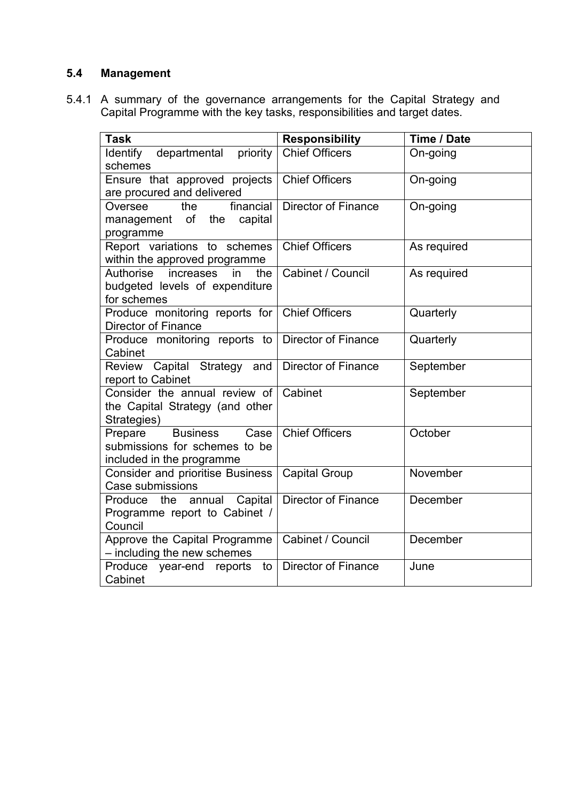# **5.4 Management**

5.4.1 A summary of the governance arrangements for the Capital Strategy and Capital Programme with the key tasks, responsibilities and target dates.

| <b>Task</b>                                                                                                |                            | Time / Date |
|------------------------------------------------------------------------------------------------------------|----------------------------|-------------|
|                                                                                                            | <b>Responsibility</b>      |             |
| departmental<br>Identify<br>priority<br>schemes                                                            | <b>Chief Officers</b>      | On-going    |
| Ensure that approved projects<br>are procured and delivered                                                | <b>Chief Officers</b>      | On-going    |
| financial<br>Oversee<br>the<br>management of<br>the capital<br>programme                                   | <b>Director of Finance</b> | On-going    |
| Report variations to schemes<br>within the approved programme                                              | <b>Chief Officers</b>      | As required |
| the<br>Authorise<br>increases<br>$\overline{\mathsf{in}}$<br>budgeted levels of expenditure<br>for schemes | Cabinet / Council          | As required |
| Produce monitoring reports for<br>Director of Finance                                                      | <b>Chief Officers</b>      | Quarterly   |
| Produce monitoring reports to<br>Cabinet                                                                   | <b>Director of Finance</b> | Quarterly   |
| Review Capital Strategy and<br>report to Cabinet                                                           | <b>Director of Finance</b> | September   |
| Consider the annual review of<br>the Capital Strategy (and other<br>Strategies)                            | Cabinet                    | September   |
| Case<br>Prepare<br><b>Business</b><br>submissions for schemes to be<br>included in the programme           | <b>Chief Officers</b>      | October     |
| <b>Consider and prioritise Business</b><br>Case submissions                                                | <b>Capital Group</b>       | November    |
| Produce the<br>annual Capital<br>Programme report to Cabinet /<br>Council                                  | <b>Director of Finance</b> | December    |
| Approve the Capital Programme<br>- including the new schemes                                               | Cabinet / Council          | December    |
| Produce<br>year-end reports<br>to<br>Cabinet                                                               | <b>Director of Finance</b> | June        |